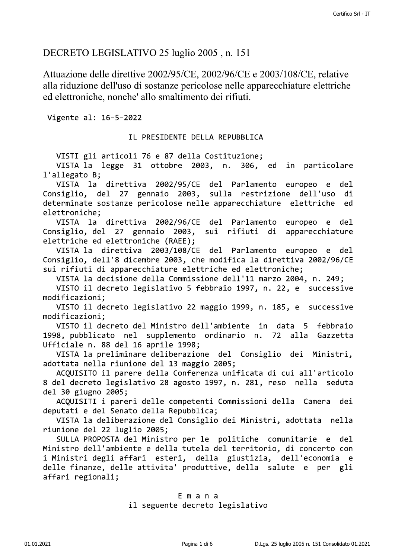## DECRETO LEGISLATIVO 25 luglio 2005, n. 151

Attuazione delle direttive 2002/95/CE, 2002/96/CE e 2003/108/CE, Certifico SH<br>
DECRETO LEGISLATIVO 25 luglio 2005, n. 151<br>
Attuazione delle direttive 2002/95/CE, 2002/96/CE e 2003/108/CE, relative<br>
alla riduzione dell'uso di sostanze pericolose nelle apparecchiature elettriche<br>
ed elett

determinate sostanze pericolose nelle apparecchiature elettriche ed elettroniche;

VISTA la direttiva 2002/96/CE del Parlamento europeo e del<br>Isiglio, del 27 gennaio 2003, sui rifiuti di apparecchiature Consiglio, del 27 gennaio 2003, sui rifiuti elettriche ed elettroniche (RAEE);

VISTA la direttiva 2003/108/CE del Parlamento europeo e del Consiglio, dell'8 dicembre 2003, che modifica la direttiva 2002/96/CE sui rifiuti di apparecchiature elettriche ed elettroniche;

VISTA la decisione della Commissione dell'11 marzo 2004, n. 249;

VISTO il decreto legislativo 5 febbraio 1997, n. 22, e successive  $modification$ i;

VISTO il decreto legislativo 22 maggio 1999, n. 185, e successive<br>modificazioni:

VISTO il decreto del Ministro dell'ambiente in data 5 febbraio 1998, pubblicato nel supplemento ordinario n. 72 alla Gazzetta Ufficiale n. 88 del 16 aprile 1998;

VISTA la preliminare deliberazione del Consiglio dei Ministri, adottata nella riunione del 13 maggio 2005;

ACQUISITO il parere della Conferenza unificata di cui all'articolo 8 del decreto legislativo 28 agosto 1997, n. 281, reso nella seduta del 30 giugno 2005;

ACQUISITI i pareri delle competenti Commissioni della Camera dei deputati e del Senato della Repubblica;

VISTA la deliberazione del Consiglio dei Ministri, adottata nella riunione del 22 luglio 2005;

SULLA PROPOSTA del Ministro per le politiche comunitarie e del Ministro dell'ambiente e della tutela del territorio, di concerto con<br>i Ministri degli affari esteri, della giustizia, dell'economia e i Ministri degli affari esteri, della giustizia, delle finanze, delle attivita' produttive, della salute e per gli affari regionali; CRETO LEGISLATIVO 25 luglio 2005, n. 151<br>Cataxa em alla chiarazione delle direttivo 2002/95/CE, 2002/96(CE e 2003/108/CE, relativo<br>cula iniduzione delle sustaine pericolose nelle apparecchiature elettriche directivo di sus

# extending the manual service of the manual service of the service of the service of the service of the service of the service of the service of the service of the service of the service of the service of the service of the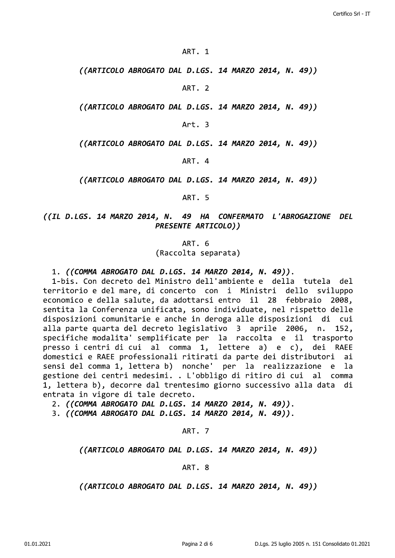#### ART. 1

((ARTICOLO ABROGATO DAL D.LGS. 14 MARZO 2014, N. 49))

ART. 2

((ARTICOLO ABROGATO DAL D.LGS. 14 MARZO 2014, N. 49))

Art. 3

((ARTICOLO ABROGATO DAL D.LGS. 14 MARZO 2014, N. 49))

ART. 4

((ARTICOLO ABROGATO DAL D.LGS. 14 MARZO 2014, N. 49))

ART. 5

### ((IL D.LGS. 14 MARZO 2014, N. 49 HA CONFERMATO L'ABROGAZIONE DEL **PRESENTE ARTICOLO))**

ART. 6 (Raccolta separata)

#### 1. ((COMMA ABROGATO DAL D.LGS. 14 MARZO 2014, N. 49)).

1-bis. Con decreto del Ministro dell'ambiente e della tutela del territorio e del mare, di concerto con i Ministri dello sviluppo economico e della salute, da adottarsi entro il 28 febbraio 2008, sentita la Conferenza unificata, sono individuate, nel rispetto delle disposizioni comunitarie e anche in deroga alle disposizioni di cui alla parte quarta del decreto legislativo 3 aprile 2006, n. 152, specifiche modalita' semplificate per la raccolta e il trasporto presso i centri di cui al comma 1, lettere a) e c), dei RAEE domestici e RAEE professionali ritirati da parte dei distributori ai sensi del comma 1, lettera b) nonche' per la realizzazione e la gestione dei centri medesimi. . L'obbligo di ritiro di cui al comma 1, lettera b), decorre dal trentesimo giorno successivo alla data di entrata in vigore di tale decreto.

2. ((COMMA ABROGATO DAL D.LGS. 14 MARZO 2014, N. 49)).

3. ((COMMA ABROGATO DAL D.LGS. 14 MARZO 2014, N. 49)).

ART. 7

((ARTICOLO ABROGATO DAL D.LGS. 14 MARZO 2014, N. 49))

#### ART. 8

((ARTICOLO ABROGATO DAL D.LGS. 14 MARZO 2014, N. 49))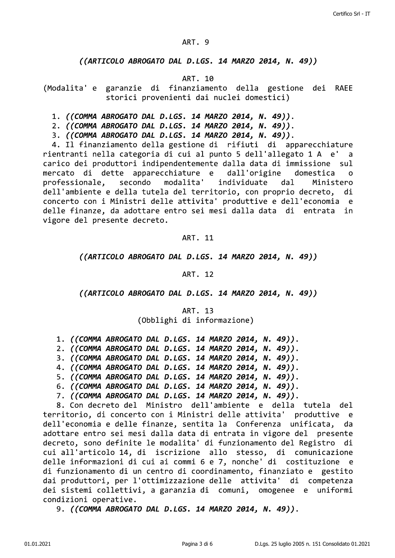#### ART. 9

#### ((ARTICOLO ABROGATO DAL D.LGS. 14 MARZO 2014, N. 49))

#### ART. 10

(Modalita' e garanzie di finanziamento della gestione dei RAEE storici provenienti dai nuclei domestici)

- 1. ((COMMA ABROGATO DAL D.LGS. 14 MARZO 2014, N. 49)).
- 2. ((COMMA ABROGATO DAL D.LGS. 14 MARZO 2014, N. 49)).
- 3. ((COMMA ABROGATO DAL D.LGS. 14 MARZO 2014, N. 49)).

4. Il finanziamento della gestione di rifiuti di apparecchiature rientranti nella categoria di cui al punto 5 dell'allegato 1 A e' a carico dei produttori indipendentemente dalla data di immissione sul mercato di dette apparecchiature e dall'origine domestica  $\Omega$ modalita' Ministero professionale. secondo individuate  $da1$ dell'ambiente e della tutela del territorio, con proprio decreto, di concerto con i Ministri delle attivita' produttive e dell'economia e delle finanze, da adottare entro sei mesi dalla data di entrata in vigore del presente decreto.

#### ART. 11

#### ((ARTICOLO ABROGATO DAL D.LGS. 14 MARZO 2014, N. 49))

#### ART. 12

### ((ARTICOLO ABROGATO DAL D.LGS. 14 MARZO 2014, N. 49))

ART. 13 (Obblighi di informazione)

- 1. ((COMMA ABROGATO DAL D.LGS. 14 MARZO 2014, N. 49)).
- 2. ((COMMA ABROGATO DAL D.LGS. 14 MARZO 2014, N. 49)).
- 3. ((COMMA ABROGATO DAL D.LGS. 14 MARZO 2014, N. 49)).
- 4. ((COMMA ABROGATO DAL D.LGS. 14 MARZO 2014, N. 49)).
- 5. ((COMMA ABROGATO DAL D.LGS. 14 MARZO 2014, N. 49)).
- 6. ((COMMA ABROGATO DAL D.LGS. 14 MARZO 2014, N. 49)).
- 7. ((COMMA ABROGATO DAL D.LGS. 14 MARZO 2014. N. 49)).

8. Con decreto del Ministro dell'ambiente e della tutela del territorio, di concerto con i Ministri delle attivita' produttive e dell'economia e delle finanze, sentita la Conferenza unificata, da adottare entro sei mesi dalla data di entrata in vigore del presente decreto, sono definite le modalita' di funzionamento del Registro di cui all'articolo 14, di iscrizione allo stesso, di comunicazione delle informazioni di cui ai commi 6 e 7, nonche' di costituzione e di funzionamento di un centro di coordinamento, finanziato e gestito dai produttori, per l'ottimizzazione delle attivita' di competenza dei sistemi collettivi, a garanzia di comuni, omogenee e uniformi condizioni operative.

9. ((COMMA ABROGATO DAL D.LGS. 14 MARZO 2014, N. 49)).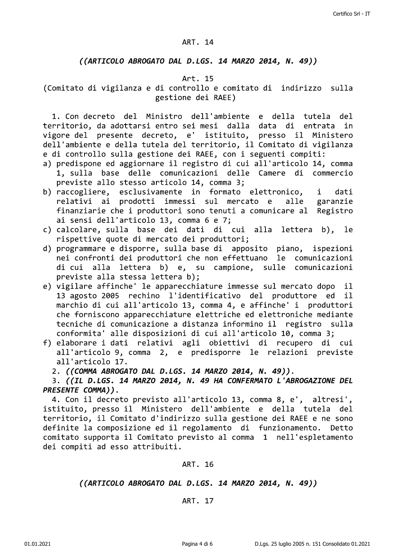#### ART. 14

#### ((ARTICOLO ABROGATO DAL D.LGS. 14 MARZO 2014, N. 49))

#### Art. 15

(Comitato di vigilanza e di controllo e comitato di indirizzo sulla gestione dei RAEE)

1. Con decreto del Ministro dell'ambiente e della tutela del territorio, da adottarsi entro sei mesi dalla data di entrata in vigore del presente decreto, e' istituito, presso il Ministero dell'ambiente e della tutela del territorio, il Comitato di vigilanza e di controllo sulla gestione dei RAEE, con i seguenti compiti:

- a) predispone ed aggiornare il registro di cui all'articolo 14, comma 1, sulla base delle comunicazioni delle Camere di commercio previste allo stesso articolo 14, comma 3;
- b) raccogliere, esclusivamente in formato elettronico,  $\mathbf{i}$ dati relativi ai prodotti immessi sul mercato e alle garanzie finanziarie che i produttori sono tenuti a comunicare al Registro ai sensi dell'articolo 13, comma 6 e 7;
- c) calcolare, sulla base dei dati di cui alla lettera b), **le** rispettive quote di mercato dei produttori;
- d) programmare e disporre, sulla base di apposito piano, ispezioni nei confronti dei produttori che non effettuano le comunicazioni di cui alla lettera b) e, su campione, sulle comunicazioni previste alla stessa lettera b);
- e) vigilare affinche' le apparecchiature immesse sul mercato dopo il 13 agosto 2005 rechino l'identificativo del produttore ed  $\mathbf{i}$ marchio di cui all'articolo 13, comma 4, e affinche' i produttori che forniscono apparecchiature elettriche ed elettroniche mediante tecniche di comunicazione a distanza informino il registro sulla conformita' alle disposizioni di cui all'articolo 10, comma 3;
- f) elaborare i dati relativi agli obiettivi di recupero di cui all'articolo 9, comma 2, e predisporre le relazioni previste all'articolo 17.

2. ((COMMA ABROGATO DAL D.LGS. 14 MARZO 2014, N. 49)).

3. ((IL D.LGS. 14 MARZO 2014, N. 49 HA CONFERMATO L'ABROGAZIONE DEL PRESENTE COMMA)).

4. Con il decreto previsto all'articolo 13, comma 8, e', altresi', istituito, presso il Ministero dell'ambiente e della tutela del territorio, il Comitato d'indirizzo sulla gestione dei RAEE e ne sono definite la composizione ed il regolamento di funzionamento. Detto comitato supporta il Comitato previsto al comma 1 nell'espletamento dei compiti ad esso attribuiti.

#### ART. 16

### ((ARTICOLO ABROGATO DAL D.LGS. 14 MARZO 2014, N. 49))

#### ART. 17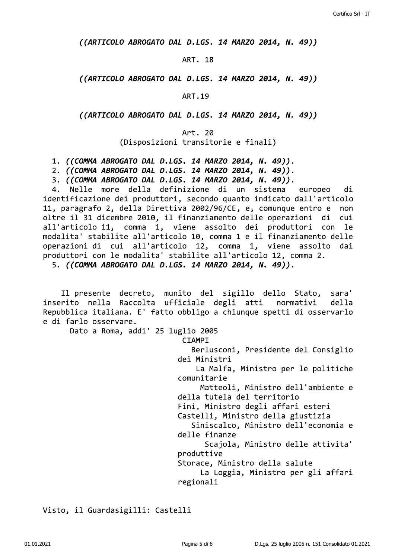((ARTICOLO ABROGATO DAL D.LGS. 14 MARZO 2014, N. 49))

#### ART. 18

((ARTICOLO ABROGATO DAL D.LGS. 14 MARZO 2014, N. 49))

**ART.19** 

((ARTICOLO ABROGATO DAL D.LGS. 14 MARZO 2014, N. 49))

Art. 20

(Disposizioni transitorie e finali)

1. ((COMMA ABROGATO DAL D.LGS. 14 MARZO 2014, N. 49)).

2. ((COMMA ABROGATO DAL D.LGS. 14 MARZO 2014, N. 49)).

3. ((COMMA ABROGATO DAL D.LGS. 14 MARZO 2014, N. 49)).

4. Nelle more della definizione di un sistema europeo di identificazione dei produttori, secondo quanto indicato dall'articolo 11, paragrafo 2, della Direttiva 2002/96/CE, e, comunque entro e non oltre il 31 dicembre 2010, il finanziamento delle operazioni di cui all'articolo 11, comma 1, viene assolto dei produttori con le modalita' stabilite all'articolo 10, comma 1 e il finanziamento delle operazioni di cui all'articolo 12, comma 1, viene assolto dai produttori con le modalita' stabilite all'articolo 12, comma 2. 5. ((COMMA ABROGATO DAL D.LGS. 14 MARZO 2014, N. 49)).

Il presente decreto, munito del sigillo dello Stato, sara' inserito nella Raccolta ufficiale degli atti normativi della Repubblica italiana. E' fatto obbligo a chiunque spetti di osservarlo e di farlo osservare.

Dato a Roma, addi' 25 luglio 2005

**CIAMPI** 

Berlusconi, Presidente del Consiglio dei Ministri

La Malfa, Ministro per le politiche comunitarie

Matteoli, Ministro dell'ambiente e della tutela del territorio

Fini, Ministro degli affari esteri

Castelli, Ministro della giustizia

Siniscalco, Ministro dell'economia e delle finanze

Scajola, Ministro delle attivita' produttive

Storace, Ministro della salute

La Loggia, Ministro per gli affari regionali

Visto, il Guardasigilli: Castelli